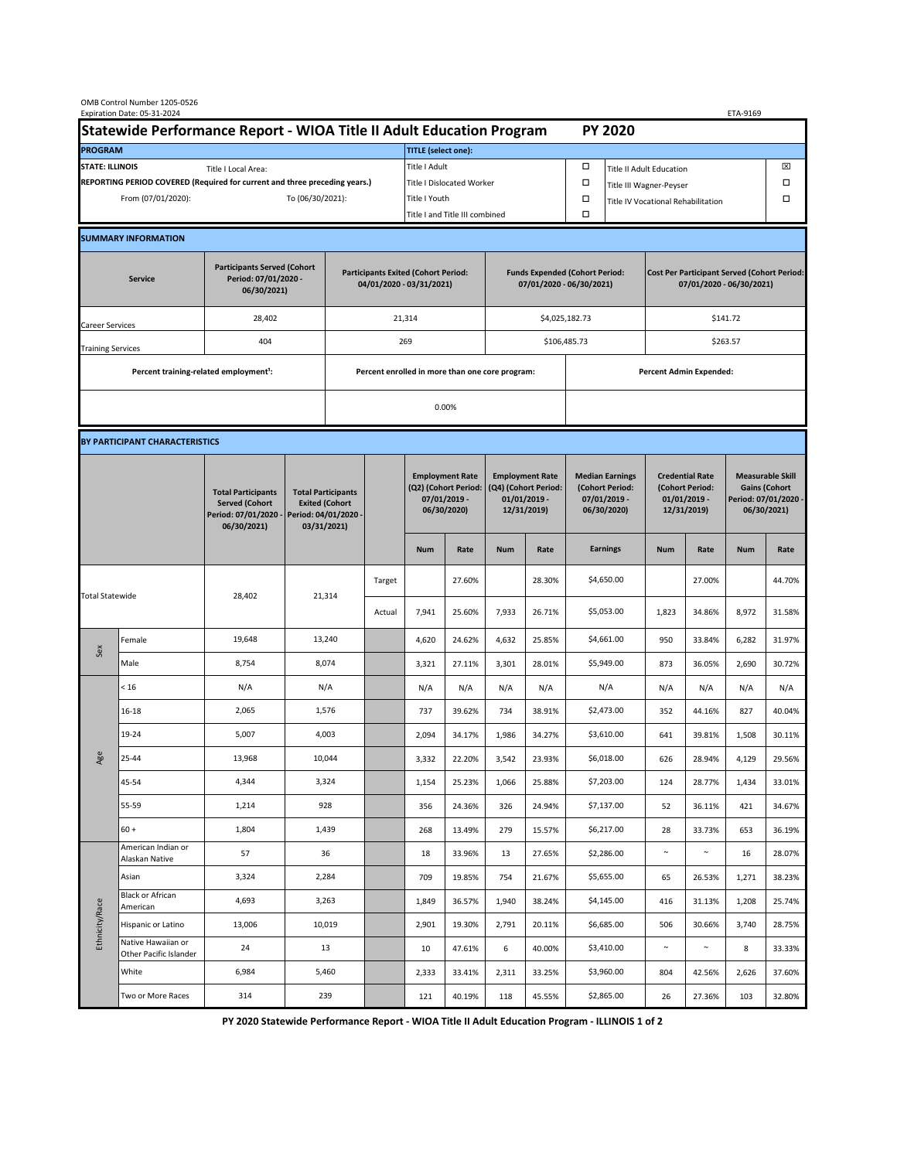| OMB Control Number 1205-0526<br>Expiration Date: 05-31-2024<br>ETA-9169                     |                                                    |                                                                                           |                                                                                           |               |        |                                                                               |                                                                   |                                                                                 |                                              |                                                                            |                                                                                |                                                                            |        |                                                                                        |        |  |
|---------------------------------------------------------------------------------------------|----------------------------------------------------|-------------------------------------------------------------------------------------------|-------------------------------------------------------------------------------------------|---------------|--------|-------------------------------------------------------------------------------|-------------------------------------------------------------------|---------------------------------------------------------------------------------|----------------------------------------------|----------------------------------------------------------------------------|--------------------------------------------------------------------------------|----------------------------------------------------------------------------|--------|----------------------------------------------------------------------------------------|--------|--|
| Statewide Performance Report - WIOA Title II Adult Education Program                        |                                                    |                                                                                           |                                                                                           |               |        |                                                                               |                                                                   |                                                                                 |                                              |                                                                            | <b>PY 2020</b>                                                                 |                                                                            |        |                                                                                        |        |  |
| <b>PROGRAM</b>                                                                              |                                                    |                                                                                           |                                                                                           |               |        | <b>TITLE</b> (select one):                                                    |                                                                   |                                                                                 |                                              |                                                                            |                                                                                |                                                                            |        |                                                                                        |        |  |
| <b>STATE: ILLINOIS</b><br>Title I Local Area:                                               |                                                    |                                                                                           |                                                                                           |               |        | Title I Adult                                                                 |                                                                   |                                                                                 |                                              | □<br><b>Title II Adult Education</b>                                       |                                                                                |                                                                            |        |                                                                                        | ⊠      |  |
| REPORTING PERIOD COVERED (Required for current and three preceding years.)                  |                                                    |                                                                                           |                                                                                           |               |        | Title I Dislocated Worker                                                     |                                                                   |                                                                                 |                                              | Ω                                                                          | Title III Wagner-Peyser                                                        |                                                                            |        |                                                                                        |        |  |
| To (06/30/2021):<br>From (07/01/2020):                                                      |                                                    |                                                                                           |                                                                                           | Title I Youth |        |                                                                               |                                                                   |                                                                                 | $\Box$<br>Title IV Vocational Rehabilitation |                                                                            |                                                                                |                                                                            |        | □                                                                                      |        |  |
|                                                                                             |                                                    |                                                                                           |                                                                                           |               |        | Title I and Title III combined                                                |                                                                   |                                                                                 |                                              | Ω                                                                          |                                                                                |                                                                            |        |                                                                                        |        |  |
|                                                                                             | <b>SUMMARY INFORMATION</b>                         |                                                                                           |                                                                                           |               |        |                                                                               |                                                                   |                                                                                 |                                              |                                                                            |                                                                                |                                                                            |        |                                                                                        |        |  |
| <b>Participants Served (Cohort</b><br>Period: 07/01/2020 -<br><b>Service</b><br>06/30/2021) |                                                    |                                                                                           | <b>Participants Exited (Cohort Period:</b><br>04/01/2020 - 03/31/2021)                    |               |        |                                                                               | <b>Funds Expended (Cohort Period:</b><br>07/01/2020 - 06/30/2021) |                                                                                 |                                              |                                                                            | <b>Cost Per Participant Served (Cohort Period:</b><br>07/01/2020 - 06/30/2021) |                                                                            |        |                                                                                        |        |  |
| Career Services                                                                             |                                                    | 28,402                                                                                    |                                                                                           |               | 21,314 |                                                                               |                                                                   |                                                                                 |                                              | \$4,025,182.73                                                             |                                                                                | \$141.72                                                                   |        |                                                                                        |        |  |
| <b>Training Services</b>                                                                    |                                                    | 404                                                                                       |                                                                                           | 269           |        |                                                                               |                                                                   |                                                                                 |                                              | \$106,485.73                                                               |                                                                                | \$263.57                                                                   |        |                                                                                        |        |  |
|                                                                                             | Percent training-related employment <sup>1</sup> : |                                                                                           | Percent enrolled in more than one core program:                                           |               |        |                                                                               |                                                                   |                                                                                 | <b>Percent Admin Expended:</b>               |                                                                            |                                                                                |                                                                            |        |                                                                                        |        |  |
|                                                                                             |                                                    |                                                                                           | 0.00%                                                                                     |               |        |                                                                               |                                                                   |                                                                                 |                                              |                                                                            |                                                                                |                                                                            |        |                                                                                        |        |  |
|                                                                                             |                                                    |                                                                                           |                                                                                           |               |        |                                                                               |                                                                   |                                                                                 |                                              |                                                                            |                                                                                |                                                                            |        |                                                                                        |        |  |
| BY PARTICIPANT CHARACTERISTICS                                                              |                                                    |                                                                                           |                                                                                           |               |        |                                                                               |                                                                   |                                                                                 |                                              |                                                                            |                                                                                |                                                                            |        |                                                                                        |        |  |
|                                                                                             |                                                    | <b>Total Participants</b><br><b>Served (Cohort</b><br>Period: 07/01/2020 -<br>06/30/2021) | <b>Total Participants</b><br><b>Exited (Cohort</b><br>Period: 04/01/2020 -<br>03/31/2021) |               |        | <b>Employment Rate</b><br>(Q2) (Cohort Period:<br>07/01/2019 -<br>06/30/2020) |                                                                   | <b>Employment Rate</b><br>(Q4) (Cohort Period:<br>$01/01/2019$ -<br>12/31/2019) |                                              | <b>Median Earnings</b><br>(Cohort Period:<br>$07/01/2019 -$<br>06/30/2020) |                                                                                | <b>Credential Rate</b><br>(Cohort Period:<br>$01/01/2019$ -<br>12/31/2019) |        | <b>Measurable Skill</b><br><b>Gains (Cohort</b><br>Period: 07/01/2020 -<br>06/30/2021) |        |  |
|                                                                                             |                                                    |                                                                                           |                                                                                           |               |        | <b>Num</b>                                                                    | Rate                                                              | <b>Num</b>                                                                      | Rate                                         |                                                                            | <b>Earnings</b>                                                                | <b>Num</b>                                                                 | Rate   | <b>Num</b>                                                                             | Rate   |  |
| <b>Total Statewide</b>                                                                      |                                                    |                                                                                           | 21,314<br>28,402                                                                          |               | Target |                                                                               | 27.60%                                                            |                                                                                 | 28.30%                                       |                                                                            | \$4,650.00                                                                     |                                                                            | 27.00% |                                                                                        | 44.70% |  |
|                                                                                             |                                                    |                                                                                           |                                                                                           |               | Actual | 7,941                                                                         | 25.60%                                                            | 7,933                                                                           | 26.71%                                       |                                                                            | \$5,053.00                                                                     | 1,823                                                                      | 34.86% | 8,972                                                                                  | 31.58% |  |
| Sex                                                                                         | Female                                             | 19,648                                                                                    | 13,240                                                                                    |               |        | 4,620                                                                         | 24.62%                                                            | 4,632                                                                           | 25.85%                                       |                                                                            | \$4,661.00                                                                     | 950                                                                        | 33.84% | 6,282                                                                                  | 31.97% |  |
|                                                                                             | Male                                               | 8,754                                                                                     | 8,074                                                                                     |               |        | 3,321                                                                         | 27.11%                                                            | 3,301                                                                           | 28.01%                                       |                                                                            | \$5,949.00                                                                     | 873                                                                        | 36.05% | 2,690                                                                                  | 30.72% |  |
| Age                                                                                         | < 16                                               | N/A                                                                                       | N/A                                                                                       |               |        | N/A                                                                           | N/A                                                               | N/A                                                                             | N/A                                          |                                                                            | N/A                                                                            | N/A                                                                        | N/A    | N/A                                                                                    | N/A    |  |
|                                                                                             | $16 - 18$                                          | 2,065                                                                                     | 1,576                                                                                     |               |        | 737                                                                           | 39.62%                                                            | 734                                                                             | 38.91%                                       |                                                                            | \$2,473.00                                                                     | 352                                                                        | 44.16% | 827                                                                                    | 40.04% |  |
|                                                                                             | 19-24                                              | 5,007                                                                                     | 4,003                                                                                     |               |        | 2,094                                                                         | 34.17%                                                            | 1,986                                                                           | 34.27%                                       |                                                                            | \$3,610.00                                                                     | 641                                                                        | 39.81% | 1,508                                                                                  | 30.11% |  |
|                                                                                             | 25-44                                              | 13,968                                                                                    | 10,044                                                                                    |               |        | 3,332                                                                         | 22.20%                                                            | 3,542                                                                           | 23.93%                                       |                                                                            | \$6,018.00                                                                     | 626                                                                        | 28.94% | 4,129                                                                                  | 29.56% |  |
|                                                                                             | 45-54                                              | 4,344                                                                                     | 3,324                                                                                     |               |        | 1,154                                                                         | 25.23%                                                            | 1,066                                                                           | 25.88%                                       |                                                                            | \$7,203.00                                                                     | 124                                                                        | 28.77% | 1,434                                                                                  | 33.01% |  |
|                                                                                             | 55-59                                              | 1,214                                                                                     | 928                                                                                       |               |        | 356                                                                           | 24.36%                                                            | 326                                                                             | 24.94%                                       |                                                                            | \$7,137.00                                                                     | 52                                                                         | 36.11% | 421                                                                                    | 34.67% |  |
|                                                                                             | $60 +$                                             | 1,804                                                                                     | 1,439                                                                                     |               |        | 268                                                                           | 13.49%                                                            | 279                                                                             | 15.57%                                       |                                                                            | \$6,217.00                                                                     | 28                                                                         | 33.73% | 653                                                                                    | 36.19% |  |
| Ethnicity/Race                                                                              | American Indian or<br>Alaskan Native               | 57                                                                                        | 36                                                                                        |               |        | 18                                                                            | 33.96%                                                            | 13                                                                              | 27.65%                                       |                                                                            | \$2,286.00                                                                     | $\sim$                                                                     | $\sim$ | 16                                                                                     | 28.07% |  |
|                                                                                             | Asian                                              | 3,324                                                                                     | 2,284                                                                                     |               |        | 709                                                                           | 19.85%                                                            | 754                                                                             | 21.67%                                       |                                                                            | \$5,655.00                                                                     | 65                                                                         | 26.53% | 1,271                                                                                  | 38.23% |  |
|                                                                                             | Black or African<br>American                       | 4,693                                                                                     | 3,263                                                                                     |               |        | 1,849                                                                         | 36.57%                                                            | 1,940                                                                           | 38.24%                                       |                                                                            | \$4,145.00                                                                     | 416                                                                        | 31.13% | 1,208                                                                                  | 25.74% |  |
|                                                                                             | Hispanic or Latino                                 | 13,006                                                                                    | 10,019                                                                                    |               |        | 2,901                                                                         | 19.30%                                                            | 2,791                                                                           | 20.11%                                       |                                                                            | \$6,685.00                                                                     | 506                                                                        | 30.66% | 3,740                                                                                  | 28.75% |  |
|                                                                                             | Native Hawaiian or<br>Other Pacific Islander       | 24                                                                                        | 13                                                                                        |               |        | 10                                                                            | 47.61%                                                            | 6                                                                               | 40.00%                                       |                                                                            | \$3,410.00                                                                     | $\sim$                                                                     | $\sim$ | 8                                                                                      | 33.33% |  |
|                                                                                             | White                                              | 6,984                                                                                     | 5,460                                                                                     |               |        | 2,333                                                                         | 33.41%                                                            | 2,311                                                                           | 33.25%                                       |                                                                            | \$3,960.00                                                                     | 804                                                                        | 42.56% | 2,626                                                                                  | 37.60% |  |
|                                                                                             | Two or More Races                                  | 314                                                                                       | 239                                                                                       |               |        | 121                                                                           | 40.19%                                                            | 118                                                                             | 45.55%                                       |                                                                            | \$2,865.00                                                                     | 26                                                                         | 27.36% | 103                                                                                    | 32.80% |  |

**PY 2020 Statewide Performance Report - WIOA Title II Adult Education Program - ILLINOIS 1 of 2**